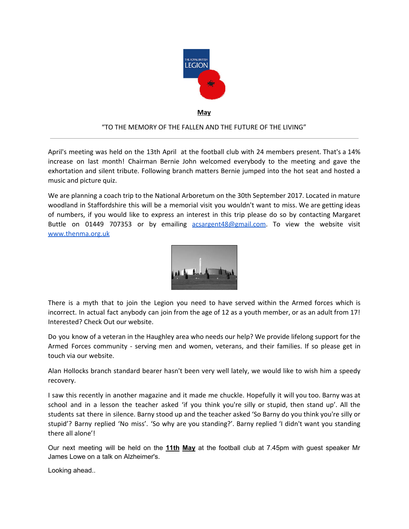

**May**

## "TO THE MEMORY OF THE FALLEN AND THE FUTURE OF THE LIVING"

April's meeting was held on the 13th April at the football club with 24 members present. That's a 14% increase on last month! Chairman Bernie John welcomed everybody to the meeting and gave the exhortation and silent tribute. Following branch matters Bernie jumped into the hot seat and hosted a music and picture quiz.

We are planning a coach trip to the National Arboretum on the 30th September 2017. Located in mature woodland in Staffordshire this will be a memorial visit you wouldn't want to miss. We are getting ideas of numbers, if you would like to express an interest in this trip please do so by contacting Margaret Buttle on 01449 707353 or by emailing [acsargent48@gmail.com](mailto:acsargent48@gmail.com). To view the website visit [www.thenma.org.uk](http://www.thenma.org.uk/)



There is a myth that to join the Legion you need to have served within the Armed forces which is incorrect. In actual fact anybody can join from the age of 12 as a youth member, or as an adult from 17! Interested? Check Out our website.

Do you know of a veteran in the Haughley area who needs our help? We provide lifelong support for the Armed Forces community - serving men and women, veterans, and their families. If so please get in touch via our website.

Alan Hollocks branch standard bearer hasn't been very well lately, we would like to wish him a speedy recovery.

I saw this recently in another magazine and it made me chuckle. Hopefully it will you too. Barny was at school and in a lesson the teacher asked 'if you think you're silly or stupid, then stand up'. All the students sat there in silence. Barny stood up and the teacher asked 'So Barny do you think you're silly or stupid'? Barny replied 'No miss'. 'So why are you standing?'. Barny replied 'I didn't want you standing there all alone'!

Our next meeting will be held on the **11th May** at the football club at 7.45pm with guest speaker Mr James Lowe on a talk on Alzheimer's.

Looking ahead..